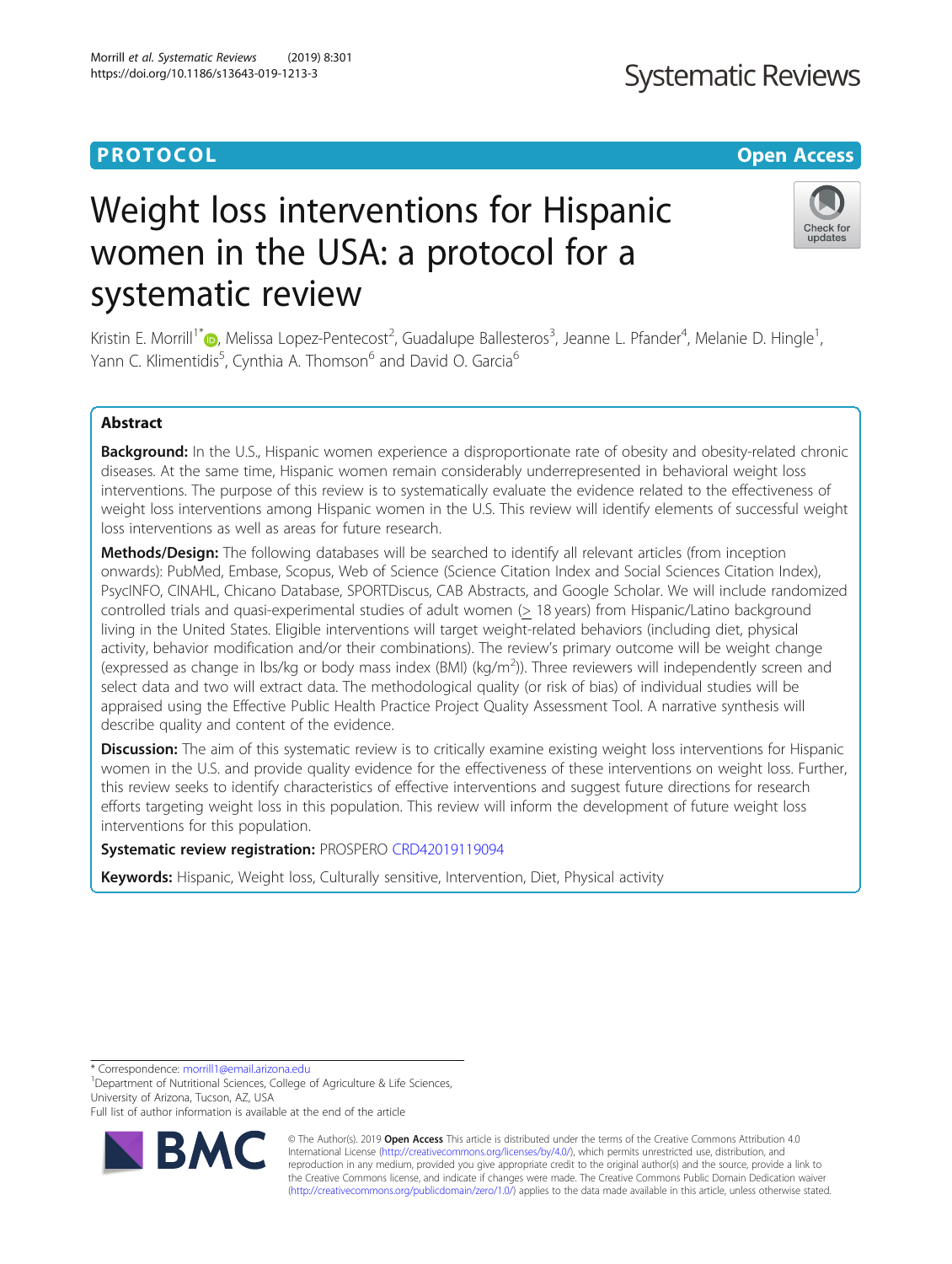# **PROTOCOL CONSUMING THE CONSUMING TEACHER CONSUMING THE CONSUMING TEACHER CONSUMING THE CONSUMING TEACHER CONSUMING**

# Weight loss interventions for Hispanic women in the USA: a protocol for a systematic review

Kristin E. Morrill<sup>1\*</sup> (**)**, Melissa Lopez-Pentecost<sup>2</sup>, Guadalupe Ballesteros<sup>3</sup>, Jeanne L. Pfander<sup>4</sup>, Melanie D. Hingle<sup>1</sup> , Yann C. Klimentidis<sup>5</sup>, Cynthia A. Thomson<sup>6</sup> and David O. Garcia<sup>6</sup>

# Abstract

Background: In the U.S., Hispanic women experience a disproportionate rate of obesity and obesity-related chronic diseases. At the same time, Hispanic women remain considerably underrepresented in behavioral weight loss interventions. The purpose of this review is to systematically evaluate the evidence related to the effectiveness of weight loss interventions among Hispanic women in the U.S. This review will identify elements of successful weight loss interventions as well as areas for future research.

Methods/Design: The following databases will be searched to identify all relevant articles (from inception onwards): PubMed, Embase, Scopus, Web of Science (Science Citation Index and Social Sciences Citation Index), PsycINFO, CINAHL, Chicano Database, SPORTDiscus, CAB Abstracts, and Google Scholar. We will include randomized controlled trials and quasi-experimental studies of adult women (> 18 years) from Hispanic/Latino background living in the United States. Eligible interventions will target weight-related behaviors (including diet, physical activity, behavior modification and/or their combinations). The review's primary outcome will be weight change (expressed as change in lbs/kg or body mass index (BMI) (kg/m<sup>2</sup>)). Three reviewers will independently screen and select data and two will extract data. The methodological quality (or risk of bias) of individual studies will be appraised using the Effective Public Health Practice Project Quality Assessment Tool. A narrative synthesis will describe quality and content of the evidence.

Discussion: The aim of this systematic review is to critically examine existing weight loss interventions for Hispanic women in the U.S. and provide quality evidence for the effectiveness of these interventions on weight loss. Further, this review seeks to identify characteristics of effective interventions and suggest future directions for research efforts targeting weight loss in this population. This review will inform the development of future weight loss interventions for this population.

# Systematic review registration: PROSPERO [CRD42019119094](https://www.crd.york.ac.uk/prospero/display_record.php?RecordID=119094)

Keywords: Hispanic, Weight loss, Culturally sensitive, Intervention, Diet, Physical activity

\* Correspondence: [morrill1@email.arizona.edu](mailto:morrill1@email.arizona.edu) <sup>1</sup>

<sup>1</sup>Department of Nutritional Sciences, College of Agriculture & Life Sciences, University of Arizona, Tucson, AZ, USA

© The Author(s). 2019 **Open Access** This article is distributed under the terms of the Creative Commons Attribution 4.0 International License [\(http://creativecommons.org/licenses/by/4.0/](http://creativecommons.org/licenses/by/4.0/)), which permits unrestricted use, distribution, and reproduction in any medium, provided you give appropriate credit to the original author(s) and the source, provide a link to the Creative Commons license, and indicate if changes were made. The Creative Commons Public Domain Dedication waiver [\(http://creativecommons.org/publicdomain/zero/1.0/](http://creativecommons.org/publicdomain/zero/1.0/)) applies to the data made available in this article, unless otherwise stated.

Morrill et al. Systematic Reviews (2019) 8:301 https://doi.org/10.1186/s13643-019-1213-3





Full list of author information is available at the end of the article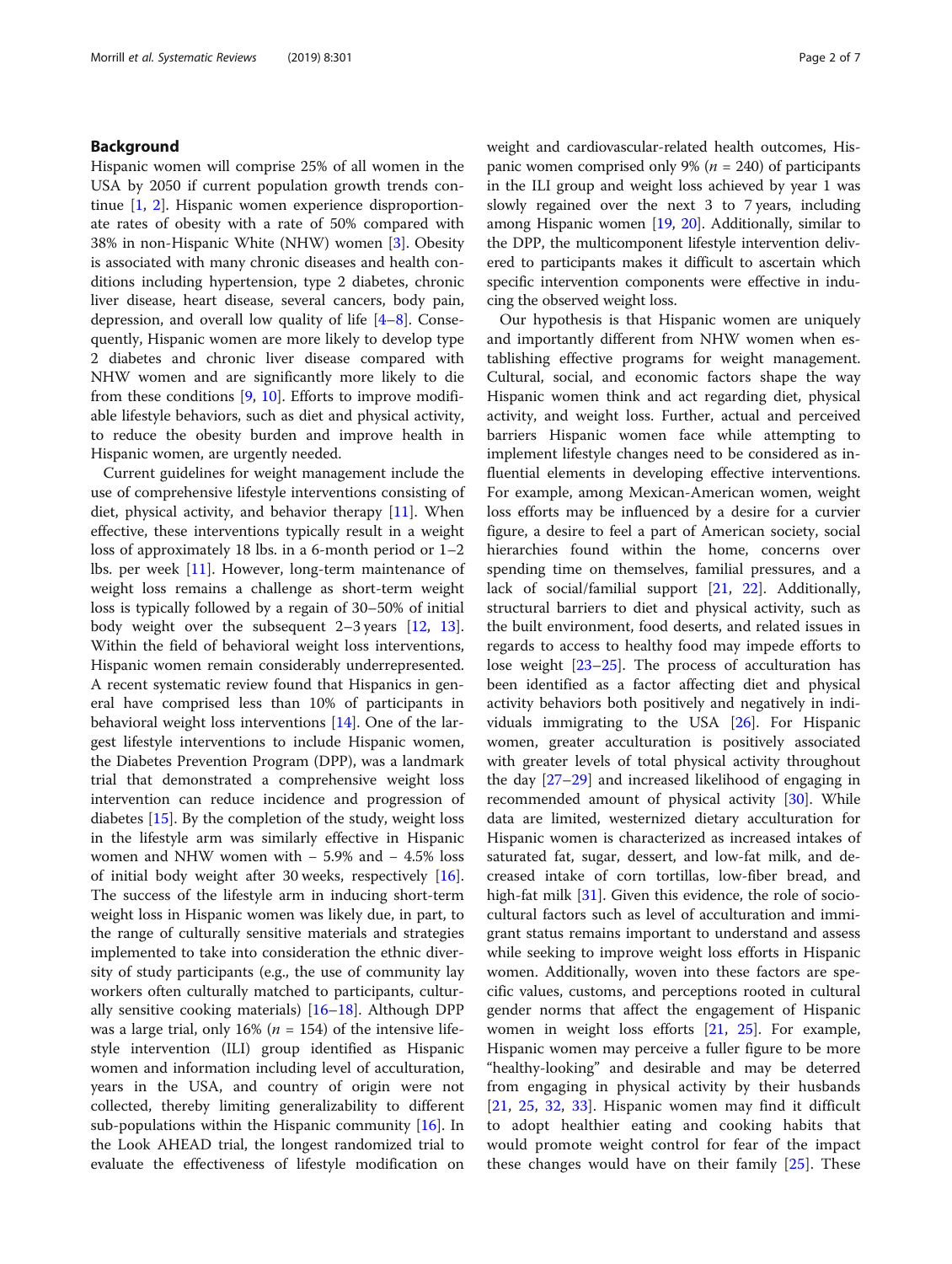# Background

Hispanic women will comprise 25% of all women in the USA by 2050 if current population growth trends continue [[1,](#page-5-0) [2\]](#page-5-0). Hispanic women experience disproportionate rates of obesity with a rate of 50% compared with 38% in non-Hispanic White (NHW) women [[3\]](#page-5-0). Obesity is associated with many chronic diseases and health conditions including hypertension, type 2 diabetes, chronic liver disease, heart disease, several cancers, body pain, depression, and overall low quality of life [[4](#page-5-0)–[8\]](#page-5-0). Consequently, Hispanic women are more likely to develop type 2 diabetes and chronic liver disease compared with NHW women and are significantly more likely to die from these conditions [\[9](#page-5-0), [10](#page-5-0)]. Efforts to improve modifiable lifestyle behaviors, such as diet and physical activity, to reduce the obesity burden and improve health in Hispanic women, are urgently needed.

Current guidelines for weight management include the use of comprehensive lifestyle interventions consisting of diet, physical activity, and behavior therapy [\[11](#page-5-0)]. When effective, these interventions typically result in a weight loss of approximately 18 lbs. in a 6-month period or  $1-2$ lbs. per week [[11](#page-5-0)]. However, long-term maintenance of weight loss remains a challenge as short-term weight loss is typically followed by a regain of 30–50% of initial body weight over the subsequent  $2-3$  years [\[12](#page-5-0), [13](#page-5-0)]. Within the field of behavioral weight loss interventions, Hispanic women remain considerably underrepresented. A recent systematic review found that Hispanics in general have comprised less than 10% of participants in behavioral weight loss interventions [\[14](#page-5-0)]. One of the largest lifestyle interventions to include Hispanic women, the Diabetes Prevention Program (DPP), was a landmark trial that demonstrated a comprehensive weight loss intervention can reduce incidence and progression of diabetes [[15\]](#page-5-0). By the completion of the study, weight loss in the lifestyle arm was similarly effective in Hispanic women and NHW women with − 5.9% and − 4.5% loss of initial body weight after 30 weeks, respectively [\[16](#page-5-0)]. The success of the lifestyle arm in inducing short-term weight loss in Hispanic women was likely due, in part, to the range of culturally sensitive materials and strategies implemented to take into consideration the ethnic diversity of study participants (e.g., the use of community lay workers often culturally matched to participants, culturally sensitive cooking materials) [[16](#page-5-0)–[18](#page-5-0)]. Although DPP was a large trial, only 16% ( $n = 154$ ) of the intensive lifestyle intervention (ILI) group identified as Hispanic women and information including level of acculturation, years in the USA, and country of origin were not collected, thereby limiting generalizability to different sub-populations within the Hispanic community [\[16](#page-5-0)]. In the Look AHEAD trial, the longest randomized trial to evaluate the effectiveness of lifestyle modification on weight and cardiovascular-related health outcomes, Hispanic women comprised only 9% ( $n = 240$ ) of participants in the ILI group and weight loss achieved by year 1 was slowly regained over the next 3 to 7 years, including among Hispanic women [[19,](#page-5-0) [20\]](#page-5-0). Additionally, similar to the DPP, the multicomponent lifestyle intervention delivered to participants makes it difficult to ascertain which specific intervention components were effective in inducing the observed weight loss.

Our hypothesis is that Hispanic women are uniquely and importantly different from NHW women when establishing effective programs for weight management. Cultural, social, and economic factors shape the way Hispanic women think and act regarding diet, physical activity, and weight loss. Further, actual and perceived barriers Hispanic women face while attempting to implement lifestyle changes need to be considered as influential elements in developing effective interventions. For example, among Mexican-American women, weight loss efforts may be influenced by a desire for a curvier figure, a desire to feel a part of American society, social hierarchies found within the home, concerns over spending time on themselves, familial pressures, and a lack of social/familial support [\[21,](#page-5-0) [22](#page-5-0)]. Additionally, structural barriers to diet and physical activity, such as the built environment, food deserts, and related issues in regards to access to healthy food may impede efforts to lose weight [[23](#page-5-0)–[25](#page-5-0)]. The process of acculturation has been identified as a factor affecting diet and physical activity behaviors both positively and negatively in individuals immigrating to the USA [\[26](#page-5-0)]. For Hispanic women, greater acculturation is positively associated with greater levels of total physical activity throughout the day [\[27](#page-5-0)–[29\]](#page-5-0) and increased likelihood of engaging in recommended amount of physical activity [[30](#page-5-0)]. While data are limited, westernized dietary acculturation for Hispanic women is characterized as increased intakes of saturated fat, sugar, dessert, and low-fat milk, and decreased intake of corn tortillas, low-fiber bread, and high-fat milk [\[31\]](#page-5-0). Given this evidence, the role of sociocultural factors such as level of acculturation and immigrant status remains important to understand and assess while seeking to improve weight loss efforts in Hispanic women. Additionally, woven into these factors are specific values, customs, and perceptions rooted in cultural gender norms that affect the engagement of Hispanic women in weight loss efforts [[21](#page-5-0), [25](#page-5-0)]. For example, Hispanic women may perceive a fuller figure to be more "healthy-looking" and desirable and may be deterred from engaging in physical activity by their husbands [[21,](#page-5-0) [25,](#page-5-0) [32](#page-6-0), [33\]](#page-6-0). Hispanic women may find it difficult to adopt healthier eating and cooking habits that would promote weight control for fear of the impact these changes would have on their family [[25\]](#page-5-0). These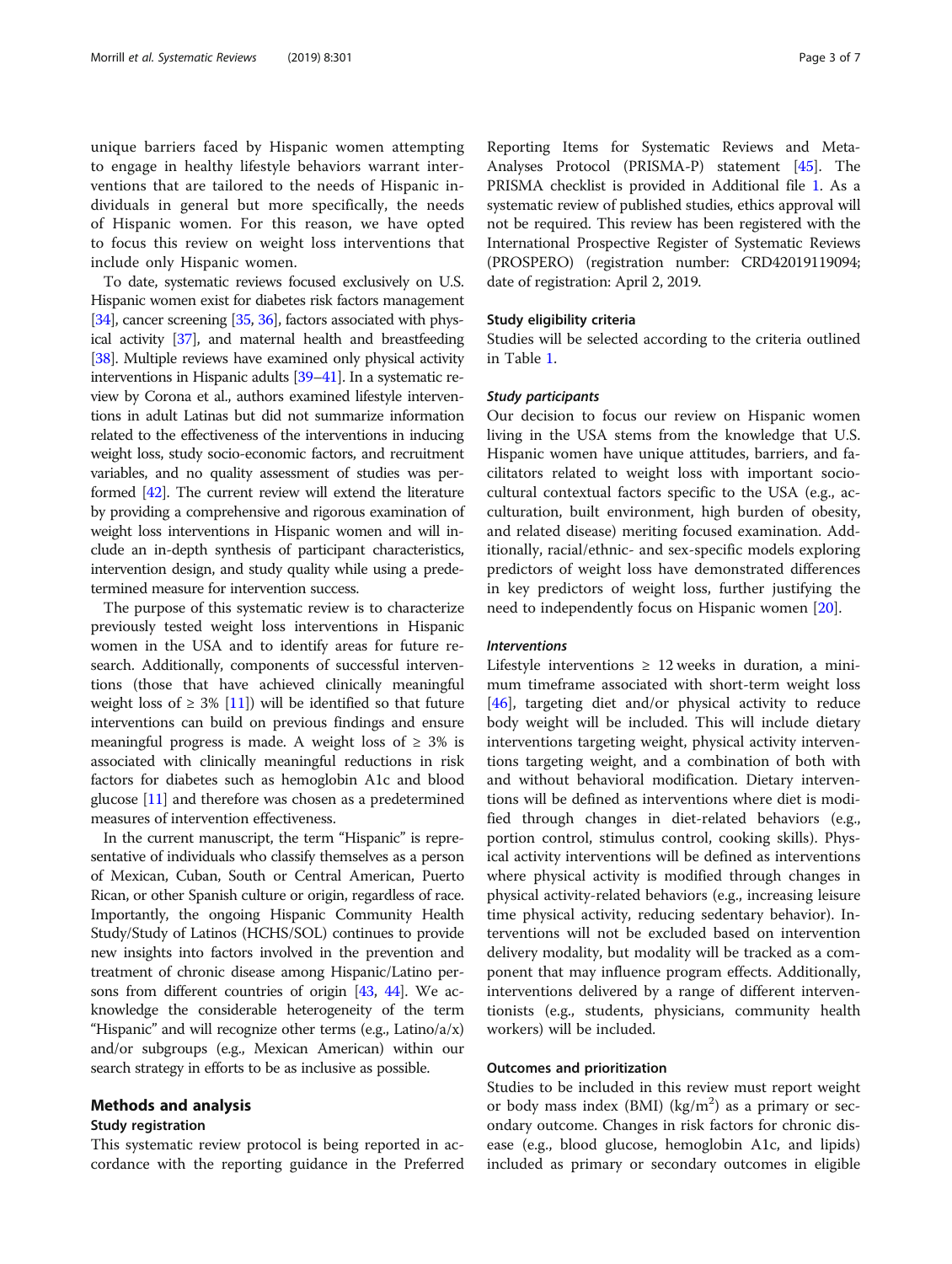unique barriers faced by Hispanic women attempting to engage in healthy lifestyle behaviors warrant interventions that are tailored to the needs of Hispanic individuals in general but more specifically, the needs of Hispanic women. For this reason, we have opted to focus this review on weight loss interventions that include only Hispanic women.

To date, systematic reviews focused exclusively on U.S. Hispanic women exist for diabetes risk factors management [[34](#page-6-0)], cancer screening [[35,](#page-6-0) [36](#page-6-0)], factors associated with physical activity [[37](#page-6-0)], and maternal health and breastfeeding [[38](#page-6-0)]. Multiple reviews have examined only physical activity interventions in Hispanic adults [\[39](#page-6-0)–[41](#page-6-0)]. In a systematic review by Corona et al., authors examined lifestyle interventions in adult Latinas but did not summarize information related to the effectiveness of the interventions in inducing weight loss, study socio-economic factors, and recruitment variables, and no quality assessment of studies was performed [[42](#page-6-0)]. The current review will extend the literature by providing a comprehensive and rigorous examination of weight loss interventions in Hispanic women and will include an in-depth synthesis of participant characteristics, intervention design, and study quality while using a predetermined measure for intervention success.

The purpose of this systematic review is to characterize previously tested weight loss interventions in Hispanic women in the USA and to identify areas for future research. Additionally, components of successful interventions (those that have achieved clinically meaningful weight loss of  $\geq$  3% [[11](#page-5-0)]) will be identified so that future interventions can build on previous findings and ensure meaningful progress is made. A weight loss of  $\geq 3\%$  is associated with clinically meaningful reductions in risk factors for diabetes such as hemoglobin A1c and blood glucose [\[11\]](#page-5-0) and therefore was chosen as a predetermined measures of intervention effectiveness.

In the current manuscript, the term "Hispanic" is representative of individuals who classify themselves as a person of Mexican, Cuban, South or Central American, Puerto Rican, or other Spanish culture or origin, regardless of race. Importantly, the ongoing Hispanic Community Health Study/Study of Latinos (HCHS/SOL) continues to provide new insights into factors involved in the prevention and treatment of chronic disease among Hispanic/Latino persons from different countries of origin [[43](#page-6-0), [44](#page-6-0)]. We acknowledge the considerable heterogeneity of the term "Hispanic" and will recognize other terms (e.g., Latino/a/x) and/or subgroups (e.g., Mexican American) within our search strategy in efforts to be as inclusive as possible.

# Methods and analysis

# Study registration

This systematic review protocol is being reported in accordance with the reporting guidance in the Preferred

Reporting Items for Systematic Reviews and Meta-Analyses Protocol (PRISMA-P) statement [\[45](#page-6-0)]. The PRISMA checklist is provided in Additional file [1.](#page-4-0) As a systematic review of published studies, ethics approval will not be required. This review has been registered with the International Prospective Register of Systematic Reviews (PROSPERO) (registration number: CRD42019119094; date of registration: April 2, 2019.

# Study eligibility criteria

Studies will be selected according to the criteria outlined in Table [1.](#page-3-0)

## Study participants

Our decision to focus our review on Hispanic women living in the USA stems from the knowledge that U.S. Hispanic women have unique attitudes, barriers, and facilitators related to weight loss with important sociocultural contextual factors specific to the USA (e.g., acculturation, built environment, high burden of obesity, and related disease) meriting focused examination. Additionally, racial/ethnic- and sex-specific models exploring predictors of weight loss have demonstrated differences in key predictors of weight loss, further justifying the need to independently focus on Hispanic women [[20\]](#page-5-0).

# Interventions

Lifestyle interventions  $\geq 12$  weeks in duration, a minimum timeframe associated with short-term weight loss [[46\]](#page-6-0), targeting diet and/or physical activity to reduce body weight will be included. This will include dietary interventions targeting weight, physical activity interventions targeting weight, and a combination of both with and without behavioral modification. Dietary interventions will be defined as interventions where diet is modified through changes in diet-related behaviors (e.g., portion control, stimulus control, cooking skills). Physical activity interventions will be defined as interventions where physical activity is modified through changes in physical activity-related behaviors (e.g., increasing leisure time physical activity, reducing sedentary behavior). Interventions will not be excluded based on intervention delivery modality, but modality will be tracked as a component that may influence program effects. Additionally, interventions delivered by a range of different interventionists (e.g., students, physicians, community health workers) will be included.

## Outcomes and prioritization

Studies to be included in this review must report weight or body mass index (BMI) ( $\text{kg/m}^2$ ) as a primary or secondary outcome. Changes in risk factors for chronic disease (e.g., blood glucose, hemoglobin A1c, and lipids) included as primary or secondary outcomes in eligible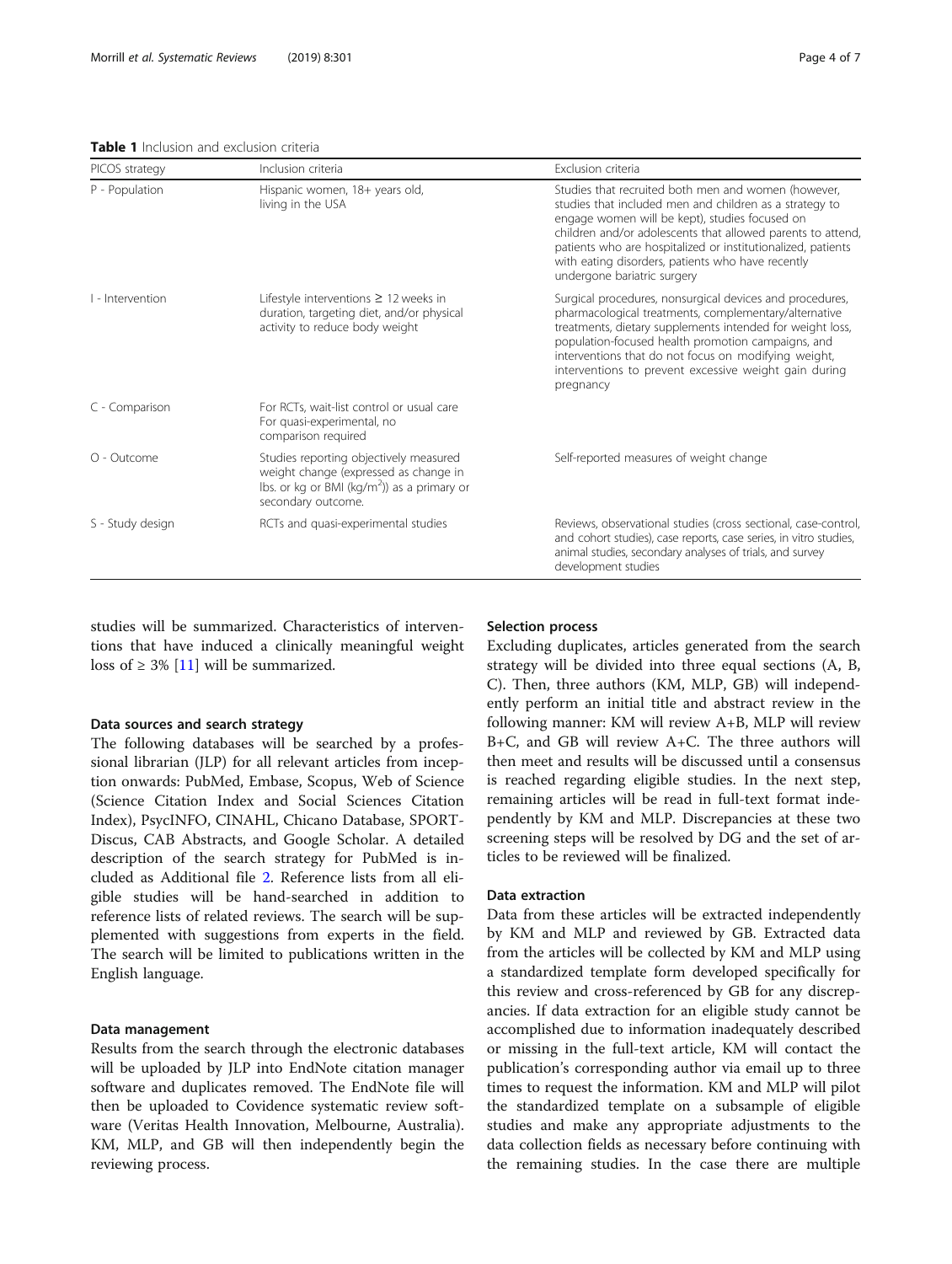#### <span id="page-3-0"></span>Table 1 Inclusion and exclusion criteria

| PICOS strategy   | Inclusion criteria                                                                                                                                     | Exclusion criteria                                                                                                                                                                                                                                                                                                                                                                  |
|------------------|--------------------------------------------------------------------------------------------------------------------------------------------------------|-------------------------------------------------------------------------------------------------------------------------------------------------------------------------------------------------------------------------------------------------------------------------------------------------------------------------------------------------------------------------------------|
| P - Population   | Hispanic women, 18+ years old,<br>living in the USA                                                                                                    | Studies that recruited both men and women (however.<br>studies that included men and children as a strategy to<br>engage women will be kept), studies focused on<br>children and/or adolescents that allowed parents to attend,<br>patients who are hospitalized or institutionalized, patients<br>with eating disorders, patients who have recently<br>undergone bariatric surgery |
| I - Intervention | Lifestyle interventions $\geq 12$ weeks in<br>duration, targeting diet, and/or physical<br>activity to reduce body weight                              | Surgical procedures, nonsurgical devices and procedures,<br>pharmacological treatments, complementary/alternative<br>treatments, dietary supplements intended for weight loss,<br>population-focused health promotion campaigns, and<br>interventions that do not focus on modifying weight,<br>interventions to prevent excessive weight gain during<br>pregnancy                  |
| C - Comparison   | For RCTs, wait-list control or usual care<br>For quasi-experimental, no<br>comparison required                                                         |                                                                                                                                                                                                                                                                                                                                                                                     |
| O - Outcome      | Studies reporting objectively measured<br>weight change (expressed as change in<br>Ibs. or kg or BMI ( $kg/m2$ ) as a primary or<br>secondary outcome. | Self-reported measures of weight change                                                                                                                                                                                                                                                                                                                                             |
| S - Study design | RCTs and quasi-experimental studies                                                                                                                    | Reviews, observational studies (cross sectional, case-control,<br>and cohort studies), case reports, case series, in vitro studies,<br>animal studies, secondary analyses of trials, and survey<br>development studies                                                                                                                                                              |

studies will be summarized. Characteristics of interventions that have induced a clinically meaningful weight loss of  $\geq$  3% [\[11\]](#page-5-0) will be summarized.

#### Data sources and search strategy

The following databases will be searched by a professional librarian (JLP) for all relevant articles from inception onwards: PubMed, Embase, Scopus, Web of Science (Science Citation Index and Social Sciences Citation Index), PsycINFO, CINAHL, Chicano Database, SPORT-Discus, CAB Abstracts, and Google Scholar. A detailed description of the search strategy for PubMed is included as Additional file [2](#page-4-0). Reference lists from all eligible studies will be hand-searched in addition to reference lists of related reviews. The search will be supplemented with suggestions from experts in the field. The search will be limited to publications written in the English language.

# Data management

Results from the search through the electronic databases will be uploaded by JLP into EndNote citation manager software and duplicates removed. The EndNote file will then be uploaded to Covidence systematic review software (Veritas Health Innovation, Melbourne, Australia). KM, MLP, and GB will then independently begin the reviewing process.

# Selection process

Excluding duplicates, articles generated from the search strategy will be divided into three equal sections (A, B, C). Then, three authors (KM, MLP, GB) will independently perform an initial title and abstract review in the following manner: KM will review A+B, MLP will review B+C, and GB will review A+C. The three authors will then meet and results will be discussed until a consensus is reached regarding eligible studies. In the next step, remaining articles will be read in full-text format independently by KM and MLP. Discrepancies at these two screening steps will be resolved by DG and the set of articles to be reviewed will be finalized.

# Data extraction

Data from these articles will be extracted independently by KM and MLP and reviewed by GB. Extracted data from the articles will be collected by KM and MLP using a standardized template form developed specifically for this review and cross-referenced by GB for any discrepancies. If data extraction for an eligible study cannot be accomplished due to information inadequately described or missing in the full-text article, KM will contact the publication's corresponding author via email up to three times to request the information. KM and MLP will pilot the standardized template on a subsample of eligible studies and make any appropriate adjustments to the data collection fields as necessary before continuing with the remaining studies. In the case there are multiple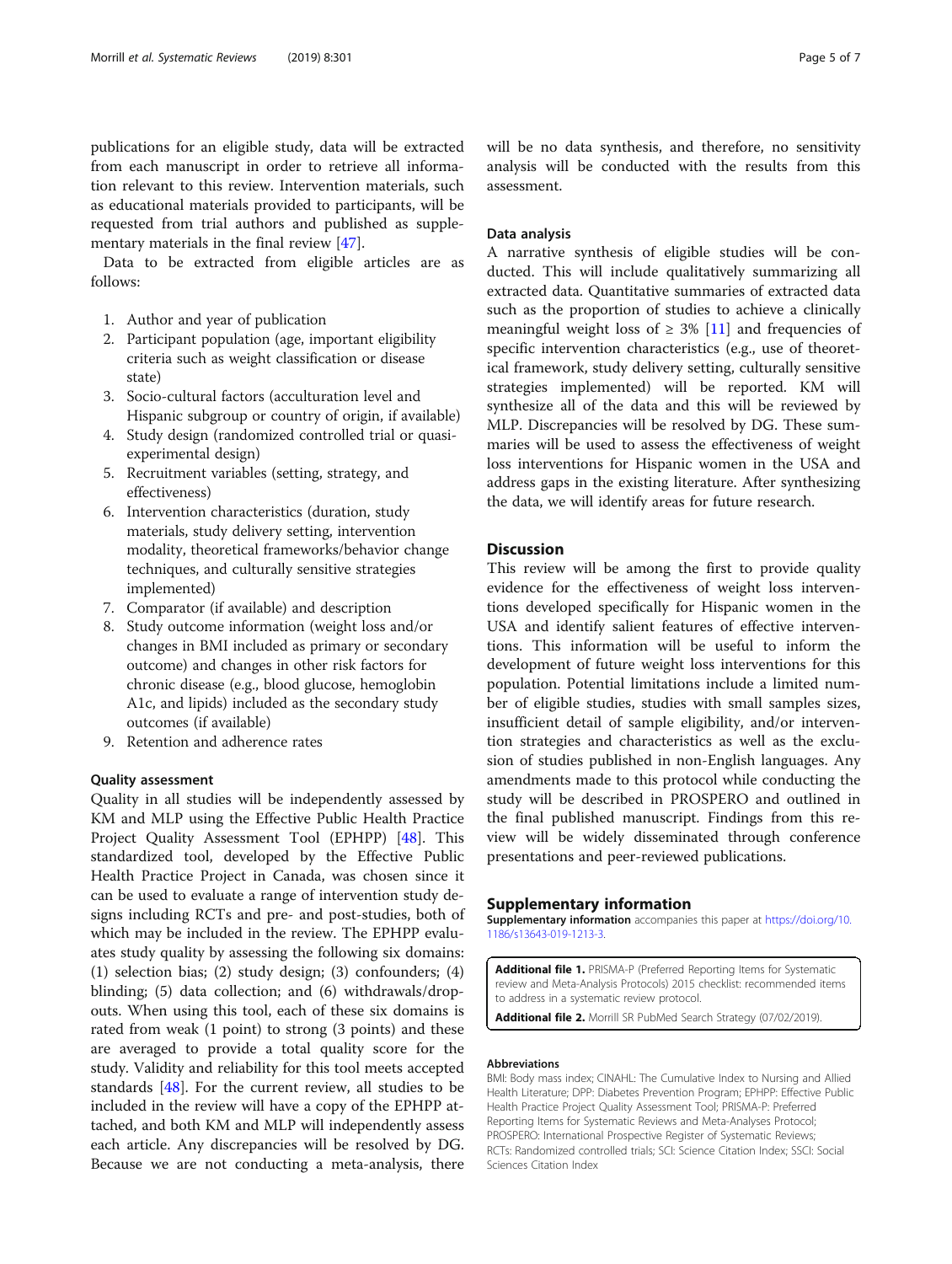<span id="page-4-0"></span>publications for an eligible study, data will be extracted from each manuscript in order to retrieve all information relevant to this review. Intervention materials, such as educational materials provided to participants, will be requested from trial authors and published as supplementary materials in the final review [\[47](#page-6-0)].

Data to be extracted from eligible articles are as follows:

- 1. Author and year of publication
- 2. Participant population (age, important eligibility criteria such as weight classification or disease state)
- 3. Socio-cultural factors (acculturation level and Hispanic subgroup or country of origin, if available)
- 4. Study design (randomized controlled trial or quasiexperimental design)
- 5. Recruitment variables (setting, strategy, and effectiveness)
- 6. Intervention characteristics (duration, study materials, study delivery setting, intervention modality, theoretical frameworks/behavior change techniques, and culturally sensitive strategies implemented)
- 7. Comparator (if available) and description
- 8. Study outcome information (weight loss and/or changes in BMI included as primary or secondary outcome) and changes in other risk factors for chronic disease (e.g., blood glucose, hemoglobin A1c, and lipids) included as the secondary study outcomes (if available)
- 9. Retention and adherence rates

## Quality assessment

Quality in all studies will be independently assessed by KM and MLP using the Effective Public Health Practice Project Quality Assessment Tool (EPHPP) [\[48](#page-6-0)]. This standardized tool, developed by the Effective Public Health Practice Project in Canada, was chosen since it can be used to evaluate a range of intervention study designs including RCTs and pre- and post-studies, both of which may be included in the review. The EPHPP evaluates study quality by assessing the following six domains: (1) selection bias; (2) study design; (3) confounders; (4) blinding; (5) data collection; and (6) withdrawals/dropouts. When using this tool, each of these six domains is rated from weak (1 point) to strong (3 points) and these are averaged to provide a total quality score for the study. Validity and reliability for this tool meets accepted standards [[48\]](#page-6-0). For the current review, all studies to be included in the review will have a copy of the EPHPP attached, and both KM and MLP will independently assess each article. Any discrepancies will be resolved by DG. Because we are not conducting a meta-analysis, there

will be no data synthesis, and therefore, no sensitivity analysis will be conducted with the results from this assessment.

#### Data analysis

A narrative synthesis of eligible studies will be conducted. This will include qualitatively summarizing all extracted data. Quantitative summaries of extracted data such as the proportion of studies to achieve a clinically meaningful weight loss of  $\geq$  3% [\[11](#page-5-0)] and frequencies of specific intervention characteristics (e.g., use of theoretical framework, study delivery setting, culturally sensitive strategies implemented) will be reported. KM will synthesize all of the data and this will be reviewed by MLP. Discrepancies will be resolved by DG. These summaries will be used to assess the effectiveness of weight loss interventions for Hispanic women in the USA and address gaps in the existing literature. After synthesizing the data, we will identify areas for future research.

# **Discussion**

This review will be among the first to provide quality evidence for the effectiveness of weight loss interventions developed specifically for Hispanic women in the USA and identify salient features of effective interventions. This information will be useful to inform the development of future weight loss interventions for this population. Potential limitations include a limited number of eligible studies, studies with small samples sizes, insufficient detail of sample eligibility, and/or intervention strategies and characteristics as well as the exclusion of studies published in non-English languages. Any amendments made to this protocol while conducting the study will be described in PROSPERO and outlined in the final published manuscript. Findings from this review will be widely disseminated through conference presentations and peer-reviewed publications.

# Supplementary information

Supplementary information accompanies this paper at [https://doi.org/10.](https://doi.org/10.1186/s13643-019-1213-3) [1186/s13643-019-1213-3.](https://doi.org/10.1186/s13643-019-1213-3)

Additional file 1. PRISMA-P (Preferred Reporting Items for Systematic review and Meta-Analysis Protocols) 2015 checklist: recommended items to address in a systematic review protocol.

Additional file 2. Morrill SR PubMed Search Strategy (07/02/2019).

#### Abbreviations

BMI: Body mass index; CINAHL: The Cumulative Index to Nursing and Allied Health Literature; DPP: Diabetes Prevention Program; EPHPP: Effective Public Health Practice Project Quality Assessment Tool; PRISMA-P: Preferred Reporting Items for Systematic Reviews and Meta-Analyses Protocol; PROSPERO: International Prospective Register of Systematic Reviews; RCTs: Randomized controlled trials; SCI: Science Citation Index; SSCI: Social Sciences Citation Index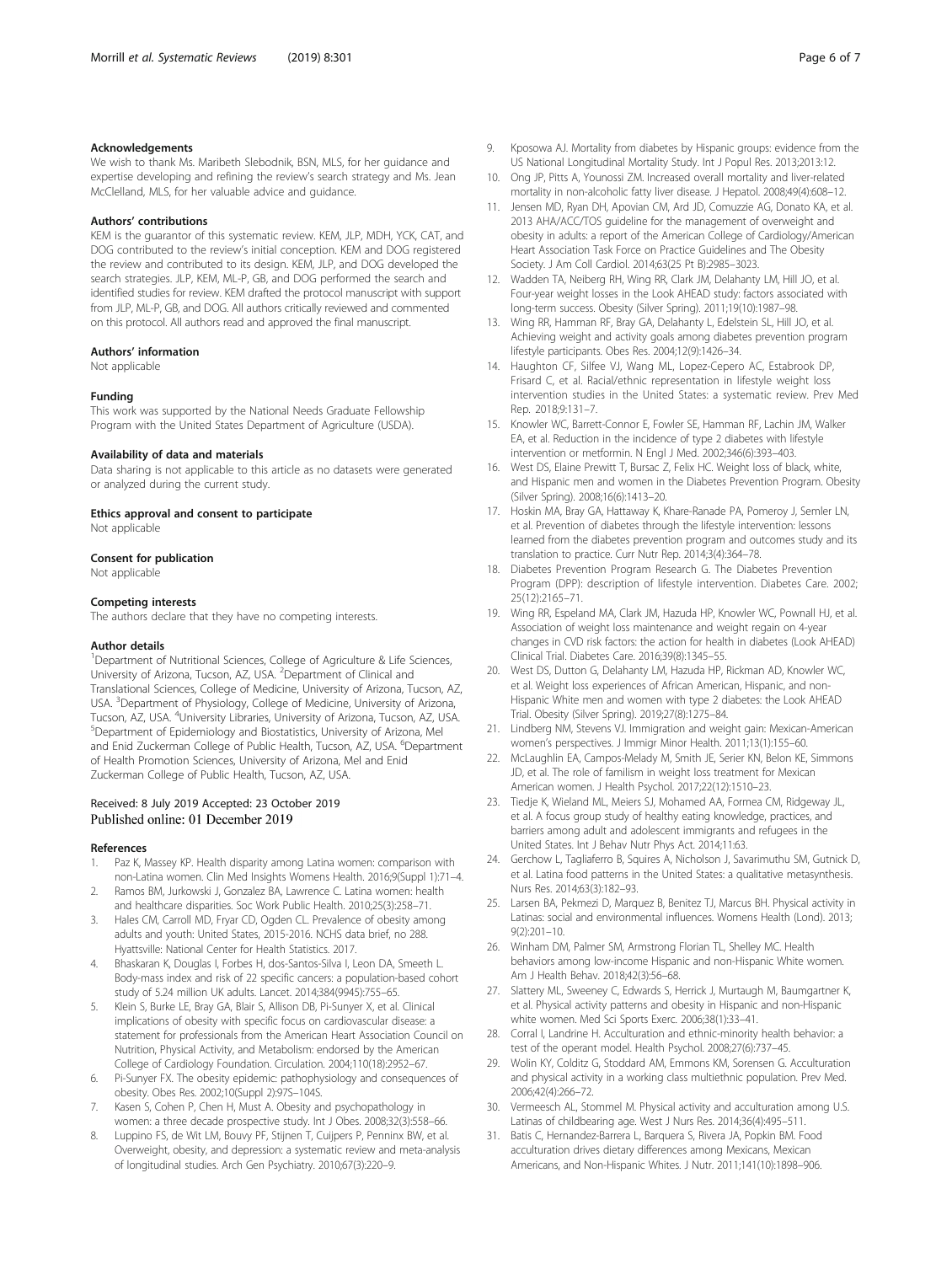#### <span id="page-5-0"></span>Acknowledgements

We wish to thank Ms. Maribeth Slebodnik, BSN, MLS, for her guidance and expertise developing and refining the review's search strategy and Ms. Jean McClelland, MLS, for her valuable advice and guidance.

#### Authors' contributions

KEM is the guarantor of this systematic review. KEM, JLP, MDH, YCK, CAT, and DOG contributed to the review's initial conception. KEM and DOG registered the review and contributed to its design. KEM, JLP, and DOG developed the search strategies. JLP, KEM, ML-P, GB, and DOG performed the search and identified studies for review. KEM drafted the protocol manuscript with support from JLP, ML-P, GB, and DOG. All authors critically reviewed and commented on this protocol. All authors read and approved the final manuscript.

#### Authors' information

Not applicable

#### Funding

This work was supported by the National Needs Graduate Fellowship Program with the United States Department of Agriculture (USDA).

#### Availability of data and materials

Data sharing is not applicable to this article as no datasets were generated or analyzed during the current study.

#### Ethics approval and consent to participate

Not applicable

#### Consent for publication

Not applicable

#### Competing interests

The authors declare that they have no competing interests.

#### Author details

<sup>1</sup>Department of Nutritional Sciences, College of Agriculture & Life Sciences, University of Arizona, Tucson, AZ, USA. <sup>2</sup>Department of Clinical and Translational Sciences, College of Medicine, University of Arizona, Tucson, AZ, USA. <sup>3</sup>Department of Physiology, College of Medicine, University of Arizona, Tucson, AZ, USA. <sup>4</sup>University Libraries, University of Arizona, Tucson, AZ, USA.<br><sup>5</sup>Dopartment of Epidemialcov and Biostatistics, University of Arizona, Mel Department of Epidemiology and Biostatistics, University of Arizona, Mel and Enid Zuckerman College of Public Health, Tucson, AZ, USA. <sup>6</sup>Department of Health Promotion Sciences, University of Arizona, Mel and Enid Zuckerman College of Public Health, Tucson, AZ, USA.

# Received: 8 July 2019 Accepted: 23 October 2019<br>Published online: 01 December 2019

#### References

- 1. Paz K, Massey KP. Health disparity among Latina women: comparison with non-Latina women. Clin Med Insights Womens Health. 2016;9(Suppl 1):71–4.
- Ramos BM, Jurkowski J, Gonzalez BA, Lawrence C. Latina women: health and healthcare disparities. Soc Work Public Health. 2010;25(3):258–71.
- 3. Hales CM, Carroll MD, Fryar CD, Ogden CL. Prevalence of obesity among adults and youth: United States, 2015-2016. NCHS data brief, no 288. Hyattsville: National Center for Health Statistics. 2017.
- 4. Bhaskaran K, Douglas I, Forbes H, dos-Santos-Silva I, Leon DA, Smeeth L. Body-mass index and risk of 22 specific cancers: a population-based cohort study of 5.24 million UK adults. Lancet. 2014;384(9945):755–65.
- Klein S, Burke LE, Bray GA, Blair S, Allison DB, Pi-Sunyer X, et al. Clinical implications of obesity with specific focus on cardiovascular disease: a statement for professionals from the American Heart Association Council on Nutrition, Physical Activity, and Metabolism: endorsed by the American College of Cardiology Foundation. Circulation. 2004;110(18):2952–67.
- 6. Pi-Sunyer FX. The obesity epidemic: pathophysiology and consequences of obesity. Obes Res. 2002;10(Suppl 2):97S–104S.
- 7. Kasen S, Cohen P, Chen H, Must A. Obesity and psychopathology in women: a three decade prospective study. Int J Obes. 2008;32(3):558–66.
- 8. Luppino FS, de Wit LM, Bouvy PF, Stijnen T, Cuijpers P, Penninx BW, et al. Overweight, obesity, and depression: a systematic review and meta-analysis of longitudinal studies. Arch Gen Psychiatry. 2010;67(3):220–9.
- 9. Kposowa AJ. Mortality from diabetes by Hispanic groups: evidence from the US National Longitudinal Mortality Study. Int J Popul Res. 2013;2013:12.
- 10. Ong JP, Pitts A, Younossi ZM. Increased overall mortality and liver-related mortality in non-alcoholic fatty liver disease. J Hepatol. 2008;49(4):608–12.
- 11. Jensen MD, Ryan DH, Apovian CM, Ard JD, Comuzzie AG, Donato KA, et al. 2013 AHA/ACC/TOS guideline for the management of overweight and obesity in adults: a report of the American College of Cardiology/American Heart Association Task Force on Practice Guidelines and The Obesity Society. J Am Coll Cardiol. 2014;63(25 Pt B):2985–3023.
- 12. Wadden TA, Neiberg RH, Wing RR, Clark JM, Delahanty LM, Hill JO, et al. Four-year weight losses in the Look AHEAD study: factors associated with long-term success. Obesity (Silver Spring). 2011;19(10):1987–98.
- 13. Wing RR, Hamman RF, Bray GA, Delahanty L, Edelstein SL, Hill JO, et al. Achieving weight and activity goals among diabetes prevention program lifestyle participants. Obes Res. 2004;12(9):1426–34.
- 14. Haughton CF, Silfee VJ, Wang ML, Lopez-Cepero AC, Estabrook DP, Frisard C, et al. Racial/ethnic representation in lifestyle weight loss intervention studies in the United States: a systematic review. Prev Med Rep. 2018;9:131–7.
- 15. Knowler WC, Barrett-Connor E, Fowler SE, Hamman RF, Lachin JM, Walker EA, et al. Reduction in the incidence of type 2 diabetes with lifestyle intervention or metformin. N Engl J Med. 2002;346(6):393–403.
- 16. West DS, Elaine Prewitt T, Bursac Z, Felix HC. Weight loss of black, white, and Hispanic men and women in the Diabetes Prevention Program. Obesity (Silver Spring). 2008;16(6):1413–20.
- 17. Hoskin MA, Bray GA, Hattaway K, Khare-Ranade PA, Pomeroy J, Semler LN, et al. Prevention of diabetes through the lifestyle intervention: lessons learned from the diabetes prevention program and outcomes study and its translation to practice. Curr Nutr Rep. 2014;3(4):364–78.
- 18. Diabetes Prevention Program Research G. The Diabetes Prevention Program (DPP): description of lifestyle intervention. Diabetes Care. 2002; 25(12):2165–71.
- 19. Wing RR, Espeland MA, Clark JM, Hazuda HP, Knowler WC, Pownall HJ, et al. Association of weight loss maintenance and weight regain on 4-year changes in CVD risk factors: the action for health in diabetes (Look AHEAD) Clinical Trial. Diabetes Care. 2016;39(8):1345–55.
- 20. West DS, Dutton G, Delahanty LM, Hazuda HP, Rickman AD, Knowler WC, et al. Weight loss experiences of African American, Hispanic, and non-Hispanic White men and women with type 2 diabetes: the Look AHEAD Trial. Obesity (Silver Spring). 2019;27(8):1275–84.
- 21. Lindberg NM, Stevens VJ. Immigration and weight gain: Mexican-American women's perspectives. J Immigr Minor Health. 2011;13(1):155–60.
- 22. McLaughlin EA, Campos-Melady M, Smith JE, Serier KN, Belon KE, Simmons JD, et al. The role of familism in weight loss treatment for Mexican American women. J Health Psychol. 2017;22(12):1510–23.
- 23. Tiedje K, Wieland ML, Meiers SJ, Mohamed AA, Formea CM, Ridgeway JL, et al. A focus group study of healthy eating knowledge, practices, and barriers among adult and adolescent immigrants and refugees in the United States. Int J Behav Nutr Phys Act. 2014;11:63.
- 24. Gerchow L, Tagliaferro B, Squires A, Nicholson J, Savarimuthu SM, Gutnick D, et al. Latina food patterns in the United States: a qualitative metasynthesis. Nurs Res. 2014;63(3):182–93.
- 25. Larsen BA, Pekmezi D, Marquez B, Benitez TJ, Marcus BH. Physical activity in Latinas: social and environmental influences. Womens Health (Lond). 2013; 9(2):201–10.
- 26. Winham DM, Palmer SM, Armstrong Florian TL, Shelley MC. Health behaviors among low-income Hispanic and non-Hispanic White women. Am J Health Behav. 2018;42(3):56–68.
- 27. Slattery ML, Sweeney C, Edwards S, Herrick J, Murtaugh M, Baumgartner K, et al. Physical activity patterns and obesity in Hispanic and non-Hispanic white women. Med Sci Sports Exerc. 2006;38(1):33–41.
- 28. Corral I, Landrine H. Acculturation and ethnic-minority health behavior: a test of the operant model. Health Psychol. 2008;27(6):737–45.
- 29. Wolin KY, Colditz G, Stoddard AM, Emmons KM, Sorensen G. Acculturation and physical activity in a working class multiethnic population. Prev Med. 2006;42(4):266–72.
- 30. Vermeesch AL, Stommel M. Physical activity and acculturation among U.S. Latinas of childbearing age. West J Nurs Res. 2014;36(4):495–511.
- 31. Batis C, Hernandez-Barrera L, Barquera S, Rivera JA, Popkin BM. Food acculturation drives dietary differences among Mexicans, Mexican Americans, and Non-Hispanic Whites. J Nutr. 2011;141(10):1898–906.